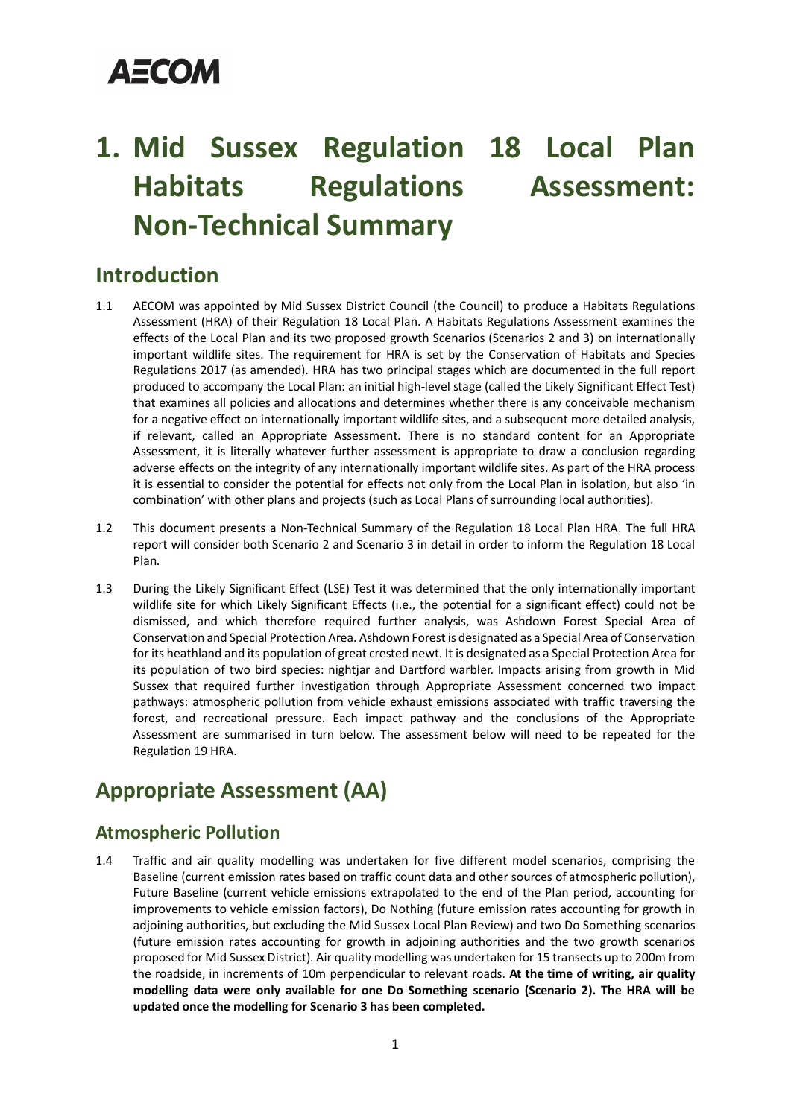## **AECOM**

### **1. Mid Sussex Regulation 18 Local Plan Habitats Regulations Assessment: Non-Technical Summary**

### **Introduction**

- 1.1 AECOM was appointed by Mid Sussex District Council (the Council) to produce a Habitats Regulations Assessment (HRA) of their Regulation 18 Local Plan. A Habitats Regulations Assessment examines the effects of the Local Plan and its two proposed growth Scenarios (Scenarios 2 and 3) on internationally important wildlife sites. The requirement for HRA is set by the Conservation of Habitats and Species Regulations 2017 (as amended). HRA has two principal stages which are documented in the full report produced to accompany the Local Plan: an initial high-level stage (called the Likely Significant Effect Test) that examines all policies and allocations and determines whether there is any conceivable mechanism for a negative effect on internationally important wildlife sites, and a subsequent more detailed analysis, if relevant, called an Appropriate Assessment. There is no standard content for an Appropriate Assessment, it is literally whatever further assessment is appropriate to draw a conclusion regarding adverse effects on the integrity of any internationally important wildlife sites. As part of the HRA process it is essential to consider the potential for effects not only from the Local Plan in isolation, but also 'in combination' with other plans and projects (such as Local Plans of surrounding local authorities).
- 1.2 This document presents a Non-Technical Summary of the Regulation 18 Local Plan HRA. The full HRA report will consider both Scenario 2 and Scenario 3 in detail in order to inform the Regulation 18 Local Plan.
- 1.3 During the Likely Significant Effect (LSE) Test it was determined that the only internationally important wildlife site for which Likely Significant Effects (i.e., the potential for a significant effect) could not be dismissed, and which therefore required further analysis, was Ashdown Forest Special Area of Conservation and Special Protection Area. Ashdown Forest is designated as a Special Area of Conservation for its heathland and its population of great crested newt. It is designated as a Special Protection Area for its population of two bird species: nightjar and Dartford warbler. Impacts arising from growth in Mid Sussex that required further investigation through Appropriate Assessment concerned two impact pathways: atmospheric pollution from vehicle exhaust emissions associated with traffic traversing the forest, and recreational pressure. Each impact pathway and the conclusions of the Appropriate Assessment are summarised in turn below. The assessment below will need to be repeated for the Regulation 19 HRA.

### **Appropriate Assessment (AA)**

### **Atmospheric Pollution**

1.4 Traffic and air quality modelling was undertaken for five different model scenarios, comprising the Baseline (current emission rates based on traffic count data and other sources of atmospheric pollution), Future Baseline (current vehicle emissions extrapolated to the end of the Plan period, accounting for improvements to vehicle emission factors), Do Nothing (future emission rates accounting for growth in adjoining authorities, but excluding the Mid Sussex Local Plan Review) and two Do Something scenarios (future emission rates accounting for growth in adjoining authorities and the two growth scenarios proposed for Mid Sussex District). Air quality modelling was undertaken for 15 transects up to 200m from the roadside, in increments of 10m perpendicular to relevant roads. **At the time of writing, air quality modelling data were only available for one Do Something scenario (Scenario 2). The HRA will be updated once the modelling for Scenario 3 has been completed.**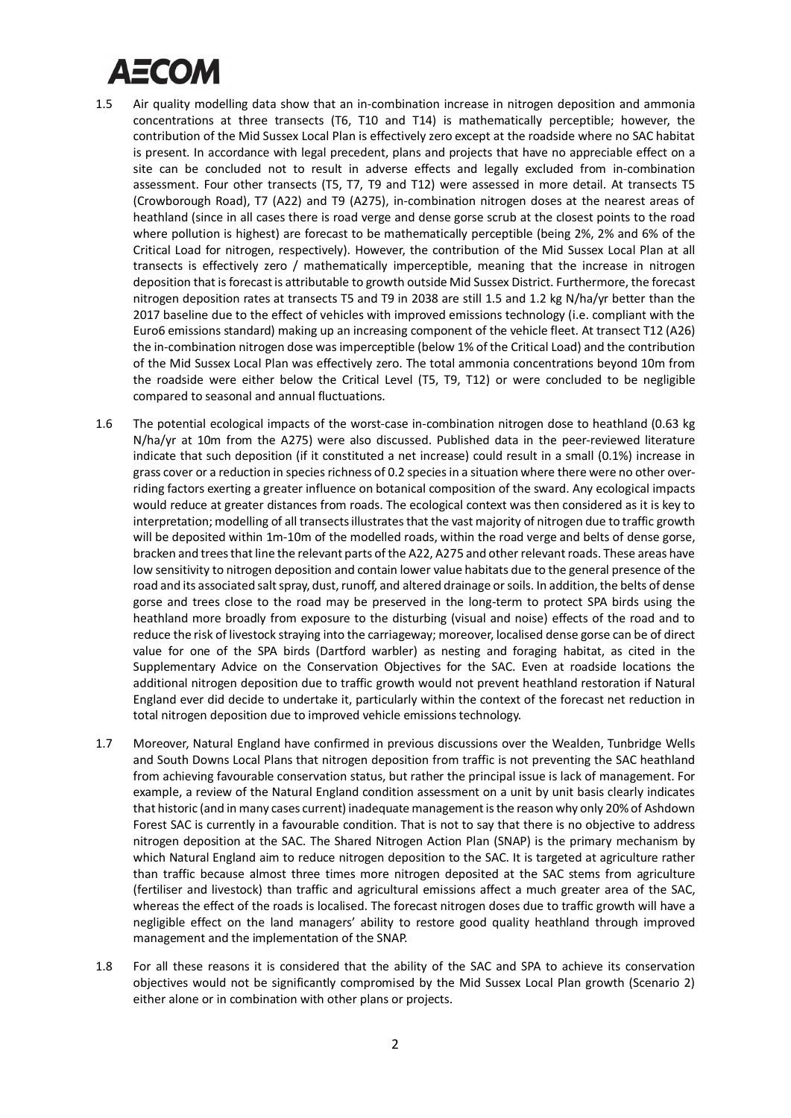# ДЕСОМ

- 1.5 Air quality modelling data show that an in-combination increase in nitrogen deposition and ammonia concentrations at three transects (T6, T10 and T14) is mathematically perceptible; however, the contribution of the Mid Sussex Local Plan is effectively zero except at the roadside where no SAC habitat is present. In accordance with legal precedent, plans and projects that have no appreciable effect on a site can be concluded not to result in adverse effects and legally excluded from in-combination assessment. Four other transects (T5, T7, T9 and T12) were assessed in more detail. At transects T5 (Crowborough Road), T7 (A22) and T9 (A275), in-combination nitrogen doses at the nearest areas of heathland (since in all cases there is road verge and dense gorse scrub at the closest points to the road where pollution is highest) are forecast to be mathematically perceptible (being 2%, 2% and 6% of the Critical Load for nitrogen, respectively). However, the contribution of the Mid Sussex Local Plan at all transects is effectively zero / mathematically imperceptible, meaning that the increase in nitrogen deposition that is forecast is attributable to growth outside Mid Sussex District. Furthermore, the forecast nitrogen deposition rates at transects T5 and T9 in 2038 are still 1.5 and 1.2 kg N/ha/yr better than the 2017 baseline due to the effect of vehicles with improved emissions technology (i.e. compliant with the Euro6 emissions standard) making up an increasing component of the vehicle fleet. At transect T12 (A26) the in-combination nitrogen dose was imperceptible (below 1% of the Critical Load) and the contribution of the Mid Sussex Local Plan was effectively zero. The total ammonia concentrations beyond 10m from the roadside were either below the Critical Level (T5, T9, T12) or were concluded to be negligible compared to seasonal and annual fluctuations.
- 1.6 The potential ecological impacts of the worst-case in-combination nitrogen dose to heathland (0.63 kg N/ha/yr at 10m from the A275) were also discussed. Published data in the peer-reviewed literature indicate that such deposition (if it constituted a net increase) could result in a small (0.1%) increase in grass cover or a reduction in species richness of 0.2 species in a situation where there were no other overriding factors exerting a greater influence on botanical composition of the sward. Any ecological impacts would reduce at greater distances from roads. The ecological context was then considered as it is key to interpretation; modelling of all transects illustrates that the vast majority of nitrogen due to traffic growth will be deposited within 1m-10m of the modelled roads, within the road verge and belts of dense gorse, bracken and trees that line the relevant parts of the A22, A275 and other relevant roads. These areas have low sensitivity to nitrogen deposition and contain lower value habitats due to the general presence of the road and its associated salt spray, dust, runoff, and altered drainage or soils. In addition, the belts of dense gorse and trees close to the road may be preserved in the long-term to protect SPA birds using the heathland more broadly from exposure to the disturbing (visual and noise) effects of the road and to reduce the risk of livestock straying into the carriageway; moreover, localised dense gorse can be of direct value for one of the SPA birds (Dartford warbler) as nesting and foraging habitat, as cited in the Supplementary Advice on the Conservation Objectives for the SAC. Even at roadside locations the additional nitrogen deposition due to traffic growth would not prevent heathland restoration if Natural England ever did decide to undertake it, particularly within the context of the forecast net reduction in total nitrogen deposition due to improved vehicle emissions technology.
- 1.7 Moreover, Natural England have confirmed in previous discussions over the Wealden, Tunbridge Wells and South Downs Local Plans that nitrogen deposition from traffic is not preventing the SAC heathland from achieving favourable conservation status, but rather the principal issue is lack of management. For example, a review of the Natural England condition assessment on a unit by unit basis clearly indicates that historic (and in many cases current) inadequate management is the reason why only 20% of Ashdown Forest SAC is currently in a favourable condition. That is not to say that there is no objective to address nitrogen deposition at the SAC. The Shared Nitrogen Action Plan (SNAP) is the primary mechanism by which Natural England aim to reduce nitrogen deposition to the SAC. It is targeted at agriculture rather than traffic because almost three times more nitrogen deposited at the SAC stems from agriculture (fertiliser and livestock) than traffic and agricultural emissions affect a much greater area of the SAC, whereas the effect of the roads is localised. The forecast nitrogen doses due to traffic growth will have a negligible effect on the land managers' ability to restore good quality heathland through improved management and the implementation of the SNAP.
- 1.8 For all these reasons it is considered that the ability of the SAC and SPA to achieve its conservation objectives would not be significantly compromised by the Mid Sussex Local Plan growth (Scenario 2) either alone or in combination with other plans or projects.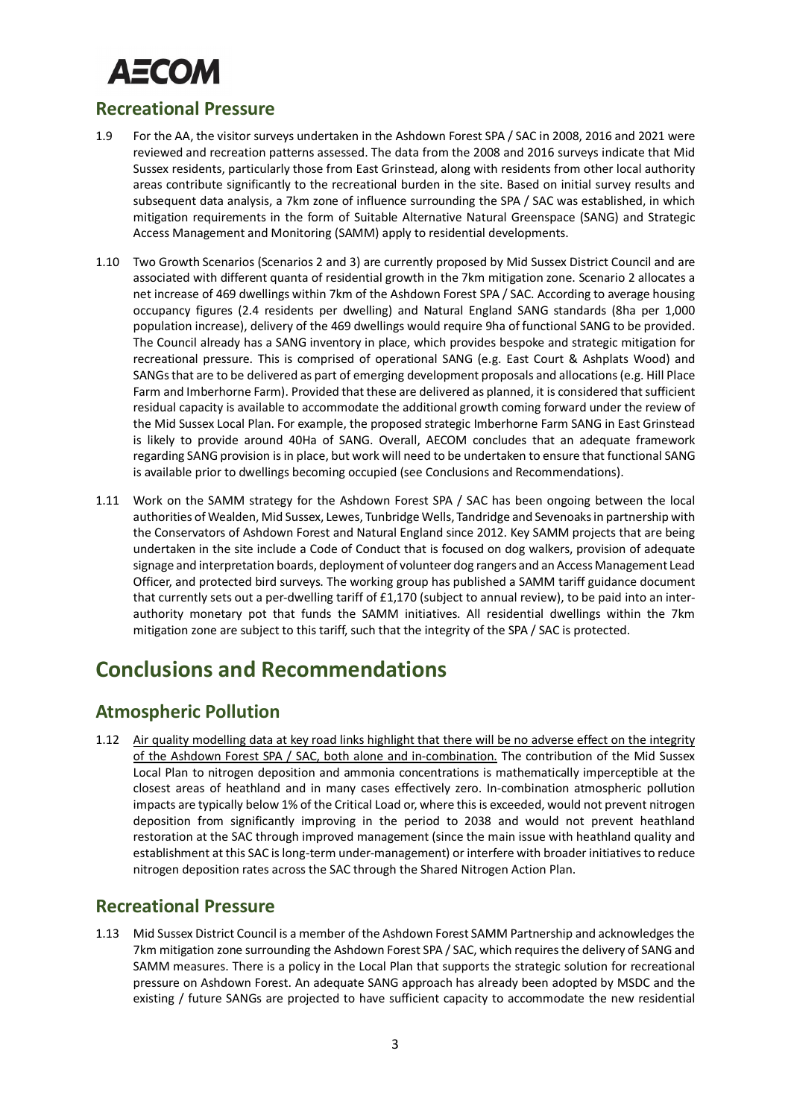# <u>АЕСОМ</u>

#### **Recreational Pressure**

- 1.9 For the AA, the visitor surveys undertaken in the Ashdown Forest SPA / SAC in 2008, 2016 and 2021 were reviewed and recreation patterns assessed. The data from the 2008 and 2016 surveys indicate that Mid Sussex residents, particularly those from East Grinstead, along with residents from other local authority areas contribute significantly to the recreational burden in the site. Based on initial survey results and subsequent data analysis, a 7km zone of influence surrounding the SPA / SAC was established, in which mitigation requirements in the form of Suitable Alternative Natural Greenspace (SANG) and Strategic Access Management and Monitoring (SAMM) apply to residential developments.
- 1.10 Two Growth Scenarios (Scenarios 2 and 3) are currently proposed by Mid Sussex District Council and are associated with different quanta of residential growth in the 7km mitigation zone. Scenario 2 allocates a net increase of 469 dwellings within 7km of the Ashdown Forest SPA / SAC. According to average housing occupancy figures (2.4 residents per dwelling) and Natural England SANG standards (8ha per 1,000 population increase), delivery of the 469 dwellings would require 9ha of functional SANG to be provided. The Council already has a SANG inventory in place, which provides bespoke and strategic mitigation for recreational pressure. This is comprised of operational SANG (e.g. East Court & Ashplats Wood) and SANGs that are to be delivered as part of emerging development proposals and allocations (e.g. Hill Place Farm and Imberhorne Farm). Provided that these are delivered as planned, it is considered that sufficient residual capacity is available to accommodate the additional growth coming forward under the review of the Mid Sussex Local Plan. For example, the proposed strategic Imberhorne Farm SANG in East Grinstead is likely to provide around 40Ha of SANG. Overall, AECOM concludes that an adequate framework regarding SANG provision is in place, but work will need to be undertaken to ensure that functional SANG is available prior to dwellings becoming occupied (see Conclusions and Recommendations).
- 1.11 Work on the SAMM strategy for the Ashdown Forest SPA / SAC has been ongoing between the local authorities of Wealden, Mid Sussex, Lewes, Tunbridge Wells, Tandridge and Sevenoaks in partnership with the Conservators of Ashdown Forest and Natural England since 2012. Key SAMM projects that are being undertaken in the site include a Code of Conduct that is focused on dog walkers, provision of adequate signage and interpretation boards, deployment of volunteer dog rangers and an Access Management Lead Officer, and protected bird surveys. The working group has published a SAMM tariff guidance document that currently sets out a per-dwelling tariff of £1,170 (subject to annual review), to be paid into an interauthority monetary pot that funds the SAMM initiatives. All residential dwellings within the 7km mitigation zone are subject to this tariff, such that the integrity of the SPA / SAC is protected.

### **Conclusions and Recommendations**

### **Atmospheric Pollution**

1.12 Air quality modelling data at key road links highlight that there will be no adverse effect on the integrity of the Ashdown Forest SPA / SAC, both alone and in-combination. The contribution of the Mid Sussex Local Plan to nitrogen deposition and ammonia concentrations is mathematically imperceptible at the closest areas of heathland and in many cases effectively zero. In-combination atmospheric pollution impacts are typically below 1% of the Critical Load or, where this is exceeded, would not prevent nitrogen deposition from significantly improving in the period to 2038 and would not prevent heathland restoration at the SAC through improved management (since the main issue with heathland quality and establishment at this SAC is long-term under-management) or interfere with broader initiatives to reduce nitrogen deposition rates across the SAC through the Shared Nitrogen Action Plan.

### **Recreational Pressure**

1.13 Mid Sussex District Council is a member of the Ashdown Forest SAMM Partnership and acknowledges the 7km mitigation zone surrounding the Ashdown Forest SPA / SAC, which requires the delivery of SANG and SAMM measures. There is a policy in the Local Plan that supports the strategic solution for recreational pressure on Ashdown Forest. An adequate SANG approach has already been adopted by MSDC and the existing / future SANGs are projected to have sufficient capacity to accommodate the new residential